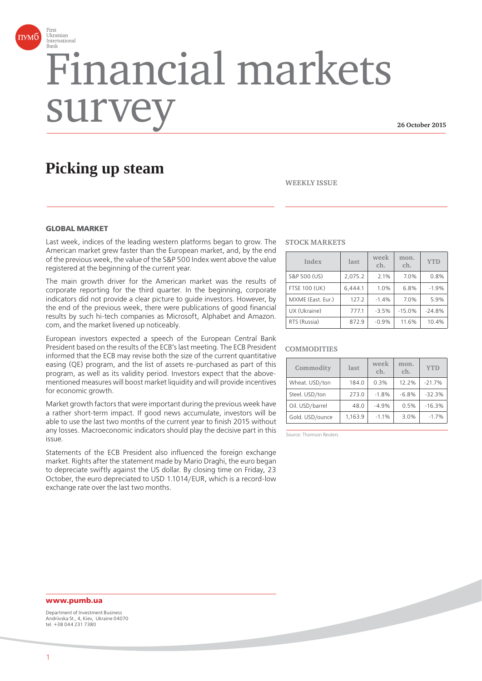

# Financial markets surv

**26 October 2015**

# **Picking up steam**



#### **GLOBAL MARKET**

Last week, indices of the leading western platforms began to grow. The American market grew faster than the European market, and, by the end of the previous week, the value of the S&P 500 Index went above the value registered at the beginning of the current year.

The main growth driver for the American market was the results of corporate reporting for the third quarter. In the beginning, corporate indicators did not provide a clear picture to guide investors. However, by the end of the previous week, there were publications of good financial results by such hi-tech companies as Microsoft, Alphabet and Amazon. com, and the market livened up noticeably.

European investors expected a speech of the European Central Bank President based on the results of the ECB's last meeting. The ECB President informed that the ECB may revise both the size of the current quantitative easing (QE) program, and the list of assets re-purchased as part of this program, as well as its validity period. Investors expect that the abovementioned measures will boost market liquidity and will provide incentives for economic growth.

Market growth factors that were important during the previous week have a rather short-term impact. If good news accumulate, investors will be able to use the last two months of the current year to finish 2015 without any losses. Macroeconomic indicators should play the decisive part in this issue.

Statements of the ECB President also influenced the foreign exchange market. Rights after the statement made by Mario Draghi, the euro began to depreciate swiftly against the US dollar. By closing time on Friday, 23 October, the euro depreciated to USD 1.1014/EUR, which is a record-low exchange rate over the last two months.

#### **STOCK MARKETS**

| Index                | last    | week<br>ch. | mon.<br>ch. | <b>YTD</b> |
|----------------------|---------|-------------|-------------|------------|
| S&P 500 (US)         | 2,075.2 | 2.1%        | 7.0%        | 0.8%       |
| <b>FTSE 100 (UK)</b> | 6.444.1 | 1.0%        | 6.8%        | $-1.9%$    |
| MXME (East. Eur.)    | 127.2   | $-1.4%$     | 7.0%        | 5.9%       |
| UX (Ukraine)         | 777.1   | $-3.5%$     | $-15.0%$    | $-24.8%$   |
| RTS (Russia)         | 872.9   | $-0.9%$     | 11.6%       | 10.4%      |

#### **COMMODITIES**

| Commodity       | last    | week<br>ch. | mon.<br>ch. | <b>YTD</b> |
|-----------------|---------|-------------|-------------|------------|
| Wheat. USD/ton  | 184.0   | 0.3%        | 12.2%       | $-21.7%$   |
| Steel. USD/ton  | 273.0   | $-1.8%$     | $-6.8%$     | $-32.3%$   |
| Oil. USD/barrel | 48.0    | $-4.9%$     | 0.5%        | $-16.3%$   |
| Gold. USD/ounce | 1.163.9 | $-1.1%$     | 3.0%        | $-1.7%$    |

Source: Thomson Reuters

# **www.pumb.ua**

Department of Investment Business Andriivska St., 4, Kiev, Ukraine 04070 tel. +38 044 231 7380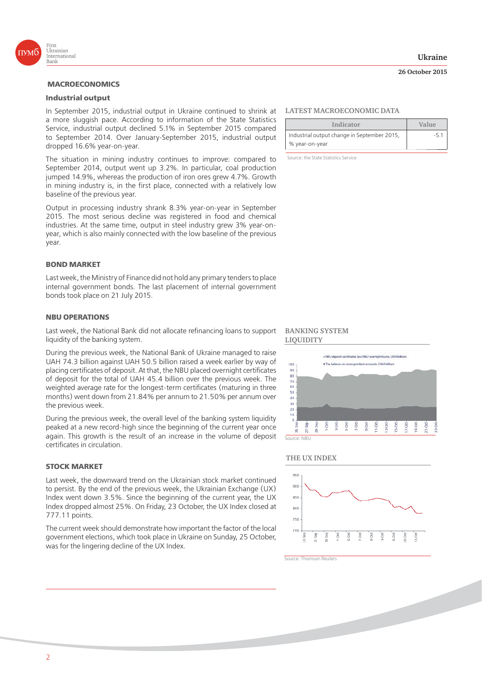

# **MACROECONOMICS**

### **Industrial output**

In September 2015, industrial output in Ukraine continued to shrink at a more sluggish pace. According to information of the State Statistics Service, industrial output declined 5.1% in September 2015 compared to September 2014. Over January-September 2015, industrial output dropped 16.6% year-on-year.

The situation in mining industry continues to improve: compared to September 2014, output went up 3.2%. In particular, coal production jumped 14.9%, whereas the production of iron ores grew 4.7%. Growth in mining industry is, in the first place, connected with a relatively low baseline of the previous year.

Output in processing industry shrank 8.3% year-on-year in September 2015. The most serious decline was registered in food and chemical industries. At the same time, output in steel industry grew 3% year-onyear, which is also mainly connected with the low baseline of the previous year.

#### **BOND MARKET**

Last week, the Ministry of Finance did not hold any primary tenders to place internal government bonds. The last placement of internal government bonds took place on 21 July 2015.

#### **NBU OPERATIONS**

Last week, the National Bank did not allocate refinancing loans to support liquidity of the banking system.

During the previous week, the National Bank of Ukraine managed to raise UAH 74.3 billion against UAH 50.5 billion raised a week earlier by way of placing certificates of deposit. At that, the NBU placed overnight certificates of deposit for the total of UAH 45.4 billion over the previous week. The weighted average rate for the longest-term certificates (maturing in three months) went down from 21.84% per annum to 21.50% per annum over the previous week.

During the previous week, the overall level of the banking system liquidity peaked at a new record-high since the beginning of the current year once again. This growth is the result of an increase in the volume of deposit certificates in circulation.

# **STOCK MARKET**

Last week, the downward trend on the Ukrainian stock market continued to persist. By the end of the previous week, the Ukrainian Exchange (UX) Index went down 3.5%. Since the beginning of the current year, the UX Index dropped almost 25%. On Friday, 23 October, the UX Index closed at 777.11 points.

The current week should demonstrate how important the factor of the local government elections, which took place in Ukraine on Sunday, 25 October, was for the lingering decline of the UX Index.

#### **Ukraine**

#### **26 October 2015**

#### **LATEST MACROECONOMIC DATA**

| Indicator                                   | Value |
|---------------------------------------------|-------|
| Industrial output change in September 2015, |       |
| % year-on-year                              |       |

Source: the State Statistics Service

#### **BANKING SYSTEM LIQUIDITY**



#### **THE UX INDEX**



Source: Thomson Reuters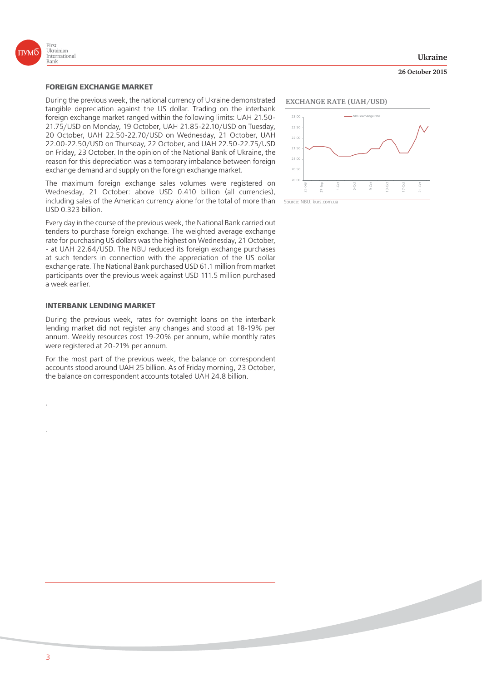

#### **FOREIGN EXCHANGE MARKET**

During the previous week, the national currency of Ukraine demonstrated tangible depreciation against the US dollar. Trading on the interbank foreign exchange market ranged within the following limits: UAH 21.50- 21.75/USD on Monday, 19 October, UAH 21.85-22.10/USD on Tuesday, 20 October, UAH 22.50-22.70/USD on Wednesday, 21 October, UAH 22.00-22.50/USD on Thursday, 22 October, and UAH 22.50-22.75/USD on Friday, 23 October. In the opinion of the National Bank of Ukraine, the reason for this depreciation was a temporary imbalance between foreign exchange demand and supply on the foreign exchange market.

The maximum foreign exchange sales volumes were registered on Wednesday, 21 October: above USD 0.410 billion (all currencies), including sales of the American currency alone for the total of more than USD 0.323 billion.

Every day in the course of the previous week, the National Bank carried out tenders to purchase foreign exchange. The weighted average exchange rate for purchasing US dollars was the highest on Wednesday, 21 October, - at UAH 22.64/USD. The NBU reduced its foreign exchange purchases at such tenders in connection with the appreciation of the US dollar exchange rate. The National Bank purchased USD 61.1 million from market participants over the previous week against USD 111.5 million purchased a week earlier.

#### **INTERBANK LENDING MARKET**

During the previous week, rates for overnight loans on the interbank lending market did not register any changes and stood at 18-19% per annum. Weekly resources cost 19-20% per annum, while monthly rates were registered at 20-21% per annum.

For the most part of the previous week, the balance on correspondent accounts stood around UAH 25 billion. As of Friday morning, 23 October, the balance on correspondent accounts totaled UAH 24.8 billion.

#### **EXCHANGE RATE (UAH/USD)**



Source: NBU, kurs.com.ua

#### **Ukraine**

**26 October 2015**

.

.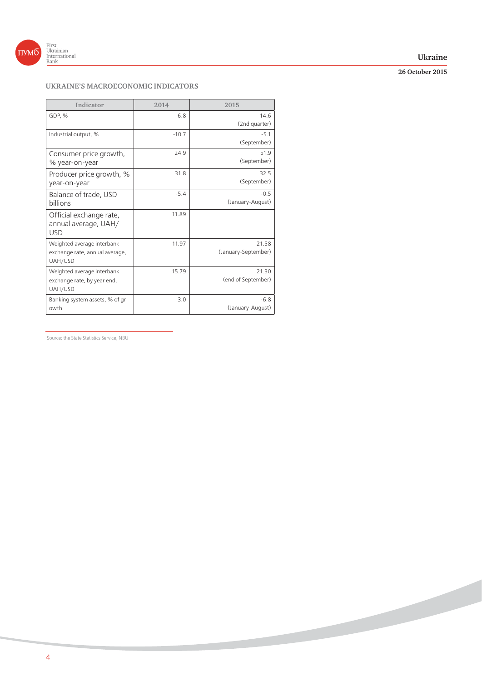

# **Ukraine**

# **26 October 2015**

**Contract Contract Contract Contract Contract Contract Contract Contract Contract Contract Contract Contract Contract Contract Contract Contract Contract Contract Contract Contract Contract Contract Contract Contract Contr** 

# **UKRAINE'S MACROECONOMIC INDICATORS**

| Indicator                                                               | 2014    | 2015                         |
|-------------------------------------------------------------------------|---------|------------------------------|
| GDP, %                                                                  | $-6.8$  | $-14.6$<br>(2nd quarter)     |
| Industrial output, %                                                    | $-10.7$ | $-5.1$<br>(September)        |
| Consumer price growth,<br>% year-on-year                                | 24.9    | 51.9<br>(September)          |
| Producer price growth, %<br>year-on-year                                | 31.8    | 32.5<br>(September)          |
| Balance of trade, USD<br><b>billions</b>                                | $-5.4$  | $-0.5$<br>(January-August)   |
| Official exchange rate,<br>annual average, UAH/<br><b>USD</b>           | 11.89   |                              |
| Weighted average interbank<br>exchange rate, annual average,<br>UAH/USD | 11.97   | 21.58<br>(January-September) |
| Weighted average interbank<br>exchange rate, by year end,<br>UAH/USD    | 15.79   | 21.30<br>(end of September)  |
| Banking system assets, % of gr<br>owth                                  | 3.0     | $-6.8$<br>(January-August)   |

Source: the State Statistics Service, NBU